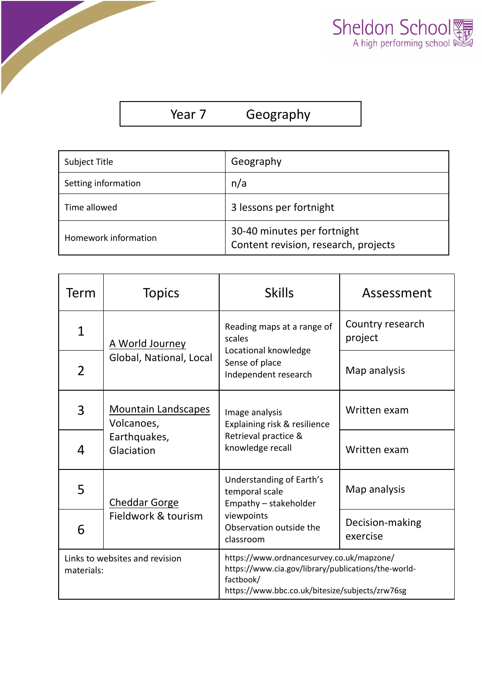

| Year 7 | Geography |  |
|--------|-----------|--|
|--------|-----------|--|

| Subject Title        | Geography                                                           |  |
|----------------------|---------------------------------------------------------------------|--|
| Setting information  | n/a                                                                 |  |
| Time allowed         | 3 lessons per fortnight                                             |  |
| Homework information | 30-40 minutes per fortnight<br>Content revision, research, projects |  |

| Term                                         | <b>Topics</b>                                                          | <b>Skills</b>                                                                                                                                                    | Assessment                  |
|----------------------------------------------|------------------------------------------------------------------------|------------------------------------------------------------------------------------------------------------------------------------------------------------------|-----------------------------|
| $\mathbf 1$                                  | A World Journey<br>Global, National, Local                             | Reading maps at a range of<br>scales<br>Locational knowledge<br>Sense of place<br>Independent research                                                           | Country research<br>project |
| $\overline{2}$                               |                                                                        |                                                                                                                                                                  | Map analysis                |
| 3                                            | <b>Mountain Landscapes</b><br>Volcanoes,<br>Earthquakes,<br>Glaciation | Image analysis<br>Explaining risk & resilience<br>Retrieval practice &<br>knowledge recall                                                                       | Written exam                |
| 4                                            |                                                                        |                                                                                                                                                                  | Written exam                |
| 5                                            | <b>Cheddar Gorge</b><br>Fieldwork & tourism                            | Understanding of Earth's<br>temporal scale<br>Empathy - stakeholder                                                                                              | Map analysis                |
| 6                                            |                                                                        | viewpoints<br>Observation outside the<br>classroom                                                                                                               | Decision-making<br>exercise |
| Links to websites and revision<br>materials: |                                                                        | https://www.ordnancesurvey.co.uk/mapzone/<br>https://www.cia.gov/library/publications/the-world-<br>factbook/<br>https://www.bbc.co.uk/bitesize/subjects/zrw76sg |                             |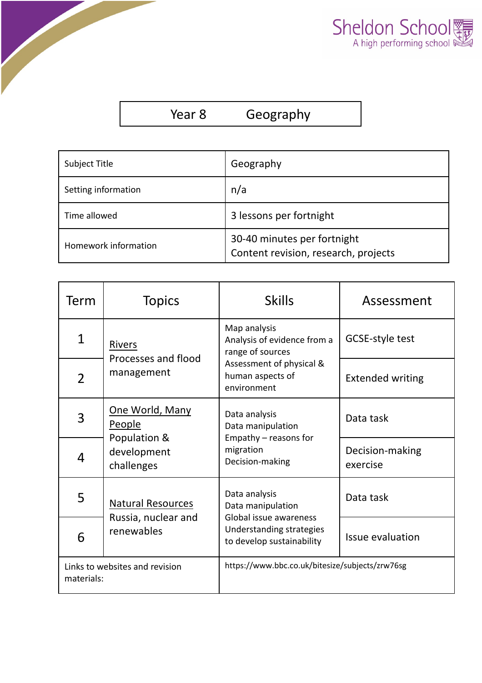

| Subject Title        | Geography                                                           |
|----------------------|---------------------------------------------------------------------|
| Setting information  | n/a                                                                 |
| Time allowed         | 3 lessons per fortnight                                             |
| Homework information | 30-40 minutes per fortnight<br>Content revision, research, projects |

| Term                                                                                            | <b>Topics</b>                                                          | <b>Skills</b>                                                                                                                  | Assessment                  |
|-------------------------------------------------------------------------------------------------|------------------------------------------------------------------------|--------------------------------------------------------------------------------------------------------------------------------|-----------------------------|
| $\mathbf 1$                                                                                     | <b>Rivers</b><br>Processes and flood<br>management                     | Map analysis<br>Analysis of evidence from a<br>range of sources<br>Assessment of physical &<br>human aspects of<br>environment | GCSE-style test             |
| $\overline{2}$                                                                                  |                                                                        |                                                                                                                                | <b>Extended writing</b>     |
| 3                                                                                               | One World, Many<br>People<br>Population &<br>development<br>challenges | Data analysis<br>Data manipulation<br>Empathy - reasons for<br>migration<br>Decision-making                                    | Data task                   |
| 4                                                                                               |                                                                        |                                                                                                                                | Decision-making<br>exercise |
| 5                                                                                               | <b>Natural Resources</b><br>Russia, nuclear and<br>renewables          | Data analysis<br>Data manipulation<br>Global issue awareness<br>Understanding strategies<br>to develop sustainability          | Data task                   |
| 6                                                                                               |                                                                        |                                                                                                                                | <b>Issue evaluation</b>     |
| https://www.bbc.co.uk/bitesize/subjects/zrw76sg<br>Links to websites and revision<br>materials: |                                                                        |                                                                                                                                |                             |